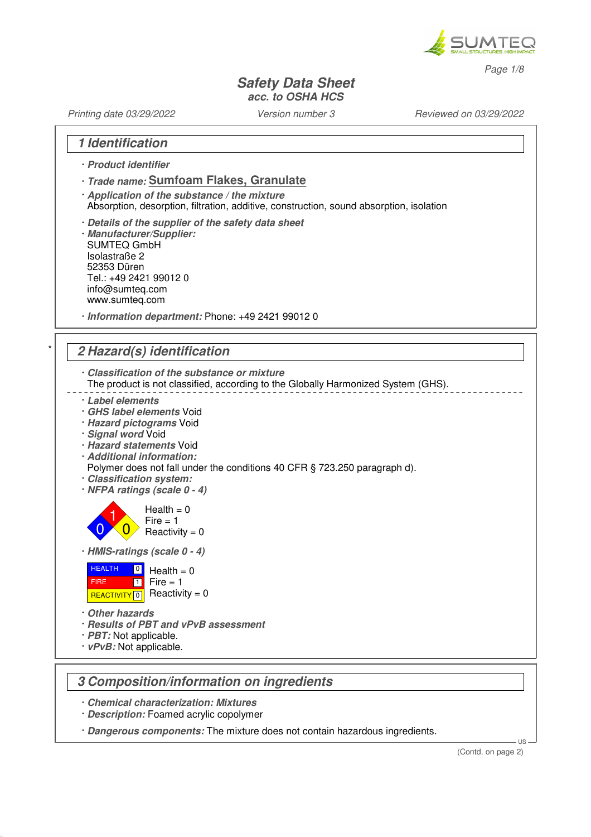

Page 1/8

#### **Safety Data Sheet acc. to OSHA HCS**

Printing date 03/29/2022 Version number 3 Reviewed on 03/29/2022

### **1 Identification**

- · **Product identifier**
- · **Trade name: Sumfoam Flakes, Granulate**
- · **Application of the substance / the mixture** Absorption, desorption, filtration, additive, construction, sound absorption, isolation
- · **Details of the supplier of the safety data sheet** · **Manufacturer/Supplier:**
- SUMTEQ GmbH Isolastraße 2 52353 Düren Tel.: +49 2421 99012 0 info@sumteq.com www.sumteq.com
- · **Information department:** Phone: +49 2421 99012 0

## \* **2 Hazard(s) identification**

- · **Classification of the substance or mixture**
- The product is not classified, according to the Globally Harmonized System (GHS).
- · **Label elements**
- · **GHS label elements** Void
- · **Hazard pictograms** Void
- · **Signal word** Void
- · **Hazard statements** Void
- · **Additional information:**
- Polymer does not fall under the conditions 40 CFR § 723.250 paragraph d).
- · **Classification system:**
- · **NFPA ratings (scale 0 4)**

1  $\overline{0}$  $Health = 0$  $Fire = 1$  $Reactivity = 0$ 

· **HMIS-ratings (scale 0 - 4)**



· **Other hazards**

0

- · **Results of PBT and vPvB assessment**
- · **PBT:** Not applicable.
- · **vPvB:** Not applicable.

### **3 Composition/information on ingredients**

- · **Chemical characterization: Mixtures**
- · **Description:** Foamed acrylic copolymer
- · **Dangerous components:** The mixture does not contain hazardous ingredients.

US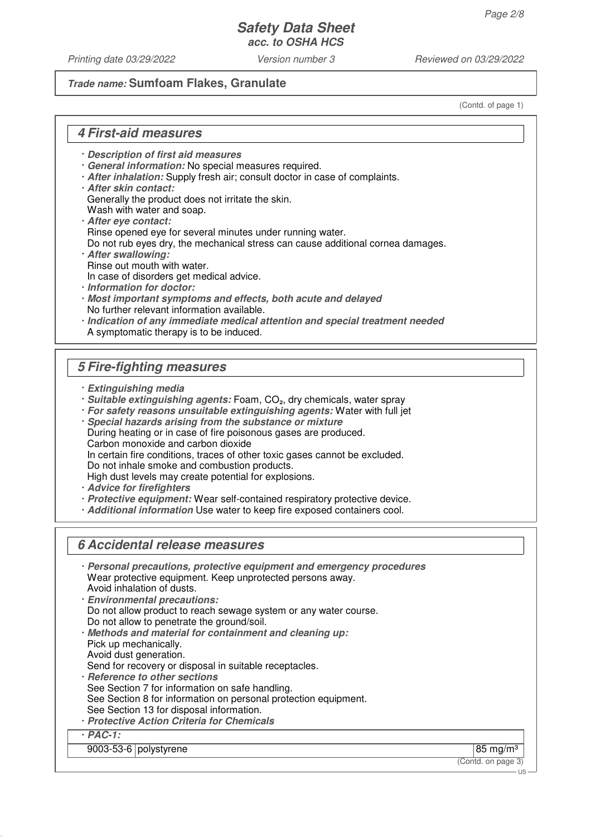Printing date 03/29/2022 Version number 3 Reviewed on 03/29/2022

#### **Trade name: Sumfoam Flakes, Granulate**

(Contd. of page 1)

### **4 First-aid measures**

- · **Description of first aid measures**
- · **General information:** No special measures required.
- · **After inhalation:** Supply fresh air; consult doctor in case of complaints.
- · **After skin contact:**

Generally the product does not irritate the skin.

- Wash with water and soap.
- · **After eye contact:** Rinse opened eye for several minutes under running water.
- Do not rub eyes dry, the mechanical stress can cause additional cornea damages.
- · **After swallowing:** Rinse out mouth with water.
- In case of disorders get medical advice.
- · **Information for doctor:**
- · **Most important symptoms and effects, both acute and delayed** No further relevant information available.
- · **Indication of any immediate medical attention and special treatment needed** A symptomatic therapy is to be induced.

## **5 Fire-fighting measures**

- · **Extinguishing media**
- · **Suitable extinguishing agents:** Foam, CO₂, dry chemicals, water spray
- · **For safety reasons unsuitable extinguishing agents:** Water with full jet
- · **Special hazards arising from the substance or mixture** During heating or in case of fire poisonous gases are produced. Carbon monoxide and carbon dioxide In certain fire conditions, traces of other toxic gases cannot be excluded. Do not inhale smoke and combustion products. High dust levels may create potential for explosions.
- · **Advice for firefighters**
- · **Protective equipment:** Wear self-contained respiratory protective device.
- · **Additional information** Use water to keep fire exposed containers cool.

# **6 Accidental release measures**

| Personal precautions, protective equipment and emergency procedures<br>Wear protective equipment. Keep unprotected persons away.<br>Avoid inhalation of dusts.<br><b>Environmental precautions:</b><br>Do not allow product to reach sewage system or any water course.<br>Do not allow to penetrate the ground/soil.<br>· Methods and material for containment and cleaning up:<br>Pick up mechanically.<br>Avoid dust generation.<br>Send for recovery or disposal in suitable receptacles.<br>· Reference to other sections<br>See Section 7 for information on safe handling.<br>See Section 8 for information on personal protection equipment.<br>See Section 13 for disposal information.<br>· Protective Action Criteria for Chemicals |             |
|------------------------------------------------------------------------------------------------------------------------------------------------------------------------------------------------------------------------------------------------------------------------------------------------------------------------------------------------------------------------------------------------------------------------------------------------------------------------------------------------------------------------------------------------------------------------------------------------------------------------------------------------------------------------------------------------------------------------------------------------|-------------|
| $PAC-1$ :                                                                                                                                                                                                                                                                                                                                                                                                                                                                                                                                                                                                                                                                                                                                      |             |
| $9003-53-6$ polystyrene                                                                                                                                                                                                                                                                                                                                                                                                                                                                                                                                                                                                                                                                                                                        | 85 mg/m $3$ |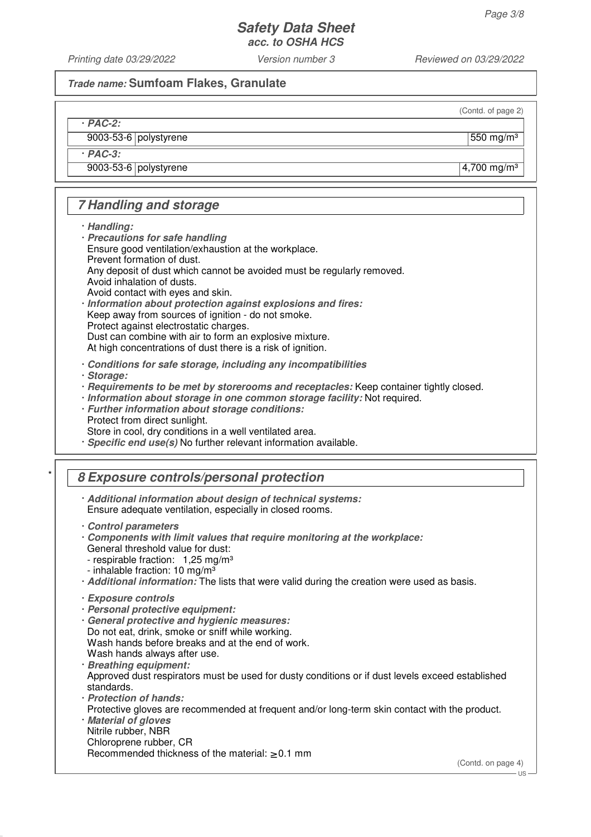Printing date 03/29/2022 Version number 3 Reviewed on 03/29/2022

#### **Trade name: Sumfoam Flakes, Granulate**

(Contd. of page 2)

· **PAC-2:**

 $9003-53-6$  polystyrene  $\vert$  550 mg/m<sup>3</sup>

· **PAC-3:**

9003-53-6 polystyrene 4,700 mg/m<sup>3</sup>

# **7 Handling and storage**

· **Handling:**

- · **Precautions for safe handling** Ensure good ventilation/exhaustion at the workplace. Prevent formation of dust.
- Any deposit of dust which cannot be avoided must be regularly removed. Avoid inhalation of dusts.
- Avoid contact with eyes and skin.
- · **Information about protection against explosions and fires:**

Keep away from sources of ignition - do not smoke.

Protect against electrostatic charges.

Dust can combine with air to form an explosive mixture.

At high concentrations of dust there is a risk of ignition.

· **Conditions for safe storage, including any incompatibilities**

· **Storage:**

- · **Requirements to be met by storerooms and receptacles:** Keep container tightly closed.
- · **Information about storage in one common storage facility:** Not required.
- · **Further information about storage conditions:** Protect from direct sunlight.

Store in cool, dry conditions in a well ventilated area.

· **Specific end use(s)** No further relevant information available.

# \* **8 Exposure controls/personal protection**

· **Additional information about design of technical systems:** Ensure adequate ventilation, especially in closed rooms.

- · **Components with limit values that require monitoring at the workplace:** General threshold value for dust: - respirable fraction: 1,25 mg/m<sup>3</sup>
- inhalable fraction:  $10 \text{ mg/m}^3$
- · **Additional information:** The lists that were valid during the creation were used as basis.

- · **Personal protective equipment:**
- · **General protective and hygienic measures:** Do not eat, drink, smoke or sniff while working. Wash hands before breaks and at the end of work. Wash hands always after use.
- · **Breathing equipment:** Approved dust respirators must be used for dusty conditions or if dust levels exceed established standards.
- · **Protection of hands:** Protective gloves are recommended at frequent and/or long-term skin contact with the product.
- · **Material of gloves** Nitrile rubber, NBR Chloroprene rubber, CR

Recommended thickness of the material:  $\geq 0.1$  mm

(Contd. on page 4)

<sup>·</sup> **Control parameters**

<sup>·</sup> **Exposure controls**

US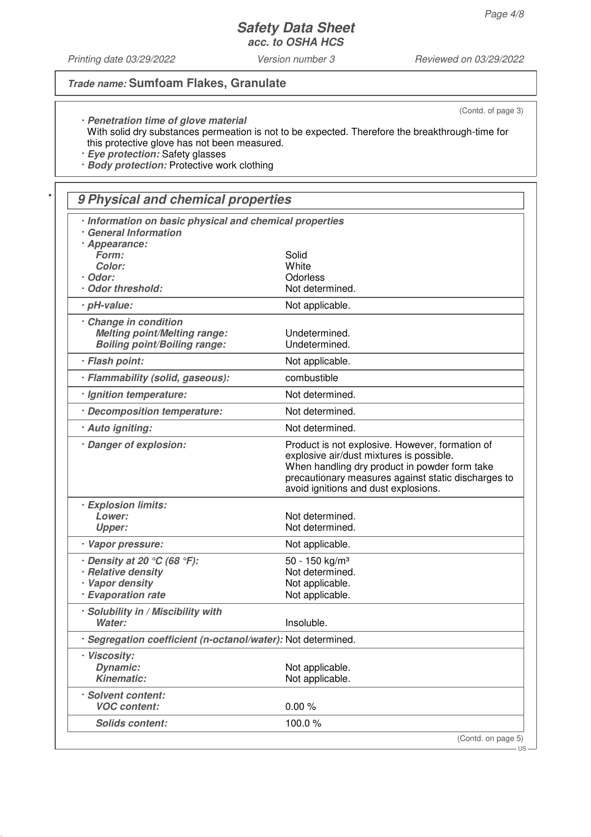Printing date 03/29/2022 Version number 3 Reviewed on 03/29/2022

## **Trade name: Sumfoam Flakes, Granulate**

(Contd. of page 3)

· **Penetration time of glove material** With solid dry substances permeation is not to be expected. Therefore the breakthrough-time for this protective glove has not been measured.

· **Eye protection:** Safety glasses

· **Body protection:** Protective work clothing

# \* **9 Physical and chemical properties**

| Information on basic physical and chemical properties<br><b>General Information</b> |                                                                                                                                                                                                                                             |
|-------------------------------------------------------------------------------------|---------------------------------------------------------------------------------------------------------------------------------------------------------------------------------------------------------------------------------------------|
| · Appearance:                                                                       |                                                                                                                                                                                                                                             |
| Form:                                                                               | Solid                                                                                                                                                                                                                                       |
| Color:                                                                              | White                                                                                                                                                                                                                                       |
| · Odor:                                                                             | Odorless                                                                                                                                                                                                                                    |
| Odor threshold:                                                                     | Not determined.                                                                                                                                                                                                                             |
| · pH-value:                                                                         | Not applicable.                                                                                                                                                                                                                             |
|                                                                                     |                                                                                                                                                                                                                                             |
| Change in condition                                                                 |                                                                                                                                                                                                                                             |
| <b>Melting point/Melting range:</b>                                                 | Undetermined.                                                                                                                                                                                                                               |
| <b>Boiling point/Boiling range:</b>                                                 | Undetermined.                                                                                                                                                                                                                               |
| · Flash point:                                                                      | Not applicable.                                                                                                                                                                                                                             |
| · Flammability (solid, gaseous):                                                    | combustible                                                                                                                                                                                                                                 |
| · Ignition temperature:                                                             | Not determined.                                                                                                                                                                                                                             |
| · Decomposition temperature:                                                        | Not determined.                                                                                                                                                                                                                             |
| · Auto igniting:                                                                    | Not determined.                                                                                                                                                                                                                             |
| · Danger of explosion:                                                              | Product is not explosive. However, formation of<br>explosive air/dust mixtures is possible.<br>When handling dry product in powder form take<br>precautionary measures against static discharges to<br>avoid ignitions and dust explosions. |
| · Explosion limits:                                                                 |                                                                                                                                                                                                                                             |
| Lower:                                                                              | Not determined.                                                                                                                                                                                                                             |
| <b>Upper:</b>                                                                       | Not determined.                                                                                                                                                                                                                             |
| · Vapor pressure:                                                                   | Not applicable.                                                                                                                                                                                                                             |
| $\cdot$ Density at 20 $\degree$ C (68 $\degree$ F):                                 | 50 - 150 kg/m <sup>3</sup>                                                                                                                                                                                                                  |
| · Relative density                                                                  | Not determined.                                                                                                                                                                                                                             |
| · Vapor density                                                                     | Not applicable.                                                                                                                                                                                                                             |
| · Evaporation rate                                                                  | Not applicable.                                                                                                                                                                                                                             |
| · Solubility in / Miscibility with                                                  |                                                                                                                                                                                                                                             |
| Water:                                                                              | Insoluble.                                                                                                                                                                                                                                  |
| · Segregation coefficient (n-octanol/water): Not determined.                        |                                                                                                                                                                                                                                             |
| · Viscosity:                                                                        |                                                                                                                                                                                                                                             |
| <b>Dynamic:</b>                                                                     | Not applicable.                                                                                                                                                                                                                             |
| <b>Kinematic:</b>                                                                   | Not applicable.                                                                                                                                                                                                                             |
|                                                                                     |                                                                                                                                                                                                                                             |
| · Solvent content:                                                                  |                                                                                                                                                                                                                                             |
| <b>VOC content:</b>                                                                 | 0.00%                                                                                                                                                                                                                                       |
| <b>Solids content:</b>                                                              | 100.0%                                                                                                                                                                                                                                      |
|                                                                                     | (Contd. on page 5)                                                                                                                                                                                                                          |

US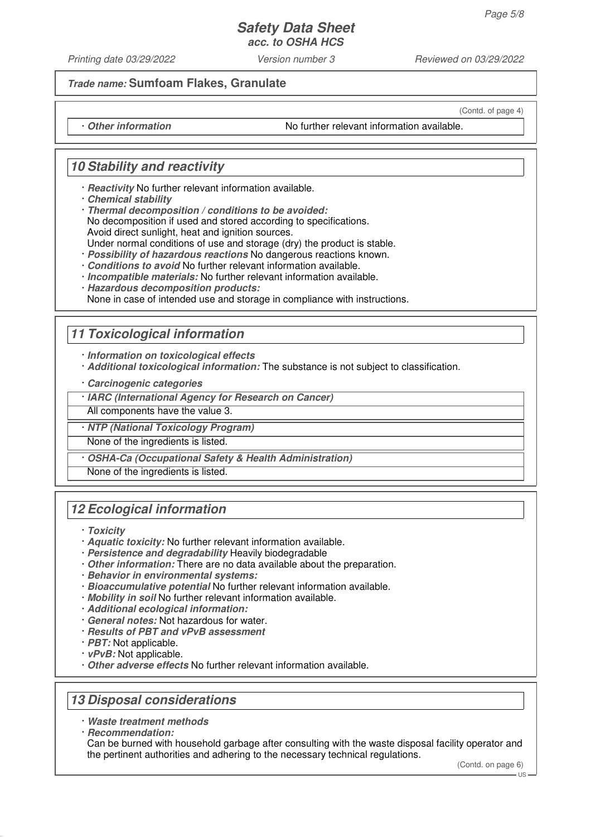Printing date 03/29/2022 Version number 3 Reviewed on 03/29/2022

**Trade name: Sumfoam Flakes, Granulate**

(Contd. of page 4)

· **Other information** No further relevant information available.

# **10 Stability and reactivity**

- · **Reactivity** No further relevant information available.
- · **Chemical stability**
- · **Thermal decomposition / conditions to be avoided:** No decomposition if used and stored according to specifications. Avoid direct sunlight, heat and ignition sources. Under normal conditions of use and storage (dry) the product is stable.
- · **Possibility of hazardous reactions** No dangerous reactions known.
- · **Conditions to avoid** No further relevant information available.
- · **Incompatible materials:** No further relevant information available.
- · **Hazardous decomposition products:**

None in case of intended use and storage in compliance with instructions.

## **11 Toxicological information**

· **Information on toxicological effects**

- · **Additional toxicological information:** The substance is not subject to classification.
- · **Carcinogenic categories**
- · **IARC (International Agency for Research on Cancer)**

All components have the value 3.

· **NTP (National Toxicology Program)**

None of the ingredients is listed.

· **OSHA-Ca (Occupational Safety & Health Administration)**

None of the ingredients is listed.

## **12 Ecological information**

- · **Toxicity**
- · **Aquatic toxicity:** No further relevant information available.
- · **Persistence and degradability** Heavily biodegradable
- · **Other information:** There are no data available about the preparation.
- · **Behavior in environmental systems:**
- · **Bioaccumulative potential** No further relevant information available.
- · **Mobility in soil** No further relevant information available.
- · **Additional ecological information:**
- · **General notes:** Not hazardous for water.
- · **Results of PBT and vPvB assessment**
- · **PBT:** Not applicable.
- · **vPvB:** Not applicable.
- · **Other adverse effects** No further relevant information available.

## **13 Disposal considerations**

· **Waste treatment methods**

· **Recommendation:**

Can be burned with household garbage after consulting with the waste disposal facility operator and the pertinent authorities and adhering to the necessary technical regulations.

(Contd. on page 6)

US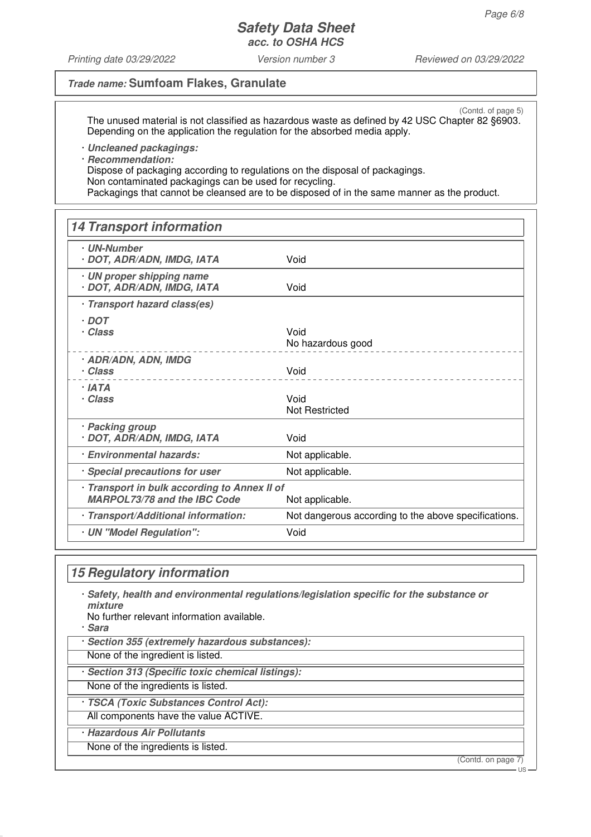Printing date 03/29/2022 Version number 3 Reviewed on 03/29/2022

### **Trade name: Sumfoam Flakes, Granulate**

(Contd. of page 5) The unused material is not classified as hazardous waste as defined by 42 USC Chapter 82 §6903. Depending on the application the regulation for the absorbed media apply.

· **Uncleaned packagings:**

· **Recommendation:**

Dispose of packaging according to regulations on the disposal of packagings. Non contaminated packagings can be used for recycling. Packagings that cannot be cleansed are to be disposed of in the same manner as the product.

# **14 Transport information** · **UN-Number** · **DOT, ADR/ADN, IMDG, IATA** Void · **UN proper shipping name** · **DOT, ADR/ADN, IMDG, IATA** Void · **Transport hazard class(es)** · **DOT** · **Class** Void No hazardous good · **ADR/ADN, ADN, IMDG**

| <i>HUNAUN, AUN, IIIIU</i> G<br>· Class                                              | Void                                                 |
|-------------------------------------------------------------------------------------|------------------------------------------------------|
| · IATA<br>· Class                                                                   | Void<br><b>Not Restricted</b>                        |
| <b>Packing group</b><br>· DOT, ADR/ADN, IMDG, IATA                                  | Void                                                 |
| <b>Environmental hazards:</b>                                                       | Not applicable.                                      |
| · Special precautions for user                                                      | Not applicable.                                      |
| · Transport in bulk according to Annex II of<br><b>MARPOL73/78 and the IBC Code</b> | Not applicable.                                      |
| · Transport/Additional information:                                                 | Not dangerous according to the above specifications. |
| <b>UN</b> "Model Regulation":                                                       | Void                                                 |

### **15 Regulatory information**

· **Safety, health and environmental regulations/legislation specific for the substance or mixture**

No further relevant information available.

· **Sara**

- · **Section 355 (extremely hazardous substances):**
- None of the ingredient is listed.
- · **Section 313 (Specific toxic chemical listings):**
- None of the ingredients is listed.
- · **TSCA (Toxic Substances Control Act):**
- All components have the value ACTIVE.
- · **Hazardous Air Pollutants**
- None of the ingredients is listed.

(Contd. on page 7)

US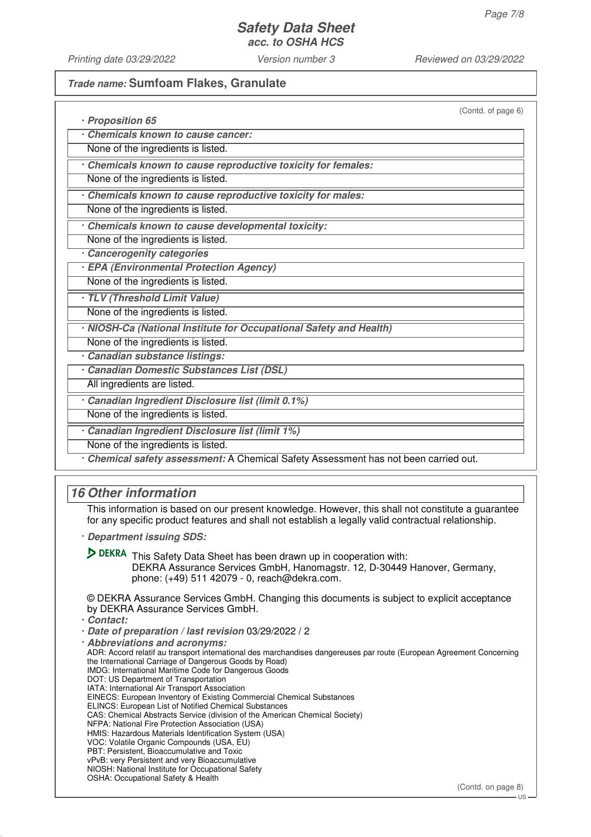Printing date 03/29/2022 Version number 3 Reviewed on 03/29/2022

#### **Trade name: Sumfoam Flakes, Granulate**

(Contd. of page 6)

| · Proposition 65                                                   |
|--------------------------------------------------------------------|
| Chemicals known to cause cancer:                                   |
| None of the ingredients is listed.                                 |
| Chemicals known to cause reproductive toxicity for females:        |
| None of the ingredients is listed.                                 |
| Chemicals known to cause reproductive toxicity for males:          |
| None of the ingredients is listed.                                 |
| Chemicals known to cause developmental toxicity:                   |
| None of the ingredients is listed.                                 |
| Cancerogenity categories                                           |
| · EPA (Environmental Protection Agency)                            |
| None of the ingredients is listed.                                 |
| · TLV (Threshold Limit Value)                                      |
| None of the ingredients is listed.                                 |
| · NIOSH-Ca (National Institute for Occupational Safety and Health) |
| None of the ingredients is listed.                                 |
| Canadian substance listings:                                       |
| Canadian Domestic Substances List (DSL)                            |
| All ingredients are listed.                                        |
| Canadian Ingredient Disclosure list (limit 0.1%)                   |
| None of the ingredients is listed.                                 |
| Canadian Ingredient Disclosure list (limit 1%)                     |
| None of the ingredients is listed.                                 |

· **Chemical safety assessment:** A Chemical Safety Assessment has not been carried out.

# **16 Other information**

This information is based on our present knowledge. However, this shall not constitute a guarantee for any specific product features and shall not establish a legally valid contractual relationship.

· **Department issuing SDS:**

D DEKRA This Safety Data Sheet has been drawn up in cooperation with: DEKRA Assurance Services GmbH, Hanomagstr. 12, D-30449 Hanover, Germany, phone: (+49) 511 42079 - 0, reach@dekra.com.

© DEKRA Assurance Services GmbH. Changing this documents is subject to explicit acceptance by DEKRA Assurance Services GmbH.

· **Contact:**

· **Date of preparation / last revision** 03/29/2022 / 2

· **Abbreviations and acronyms:** ADR: Accord relatif au transport international des marchandises dangereuses par route (European Agreement Concerning the International Carriage of Dangerous Goods by Road) IMDG: International Maritime Code for Dangerous Goods DOT: US Department of Transportation IATA: International Air Transport Association EINECS: European Inventory of Existing Commercial Chemical Substances ELINCS: European List of Notified Chemical Substances CAS: Chemical Abstracts Service (division of the American Chemical Society) NFPA: National Fire Protection Association (USA) HMIS: Hazardous Materials Identification System (USA) VOC: Volatile Organic Compounds (USA, EU) PBT: Persistent, Bioaccumulative and Toxic vPvB: very Persistent and very Bioaccumulative NIOSH: National Institute for Occupational Safety OSHA: Occupational Safety & Health